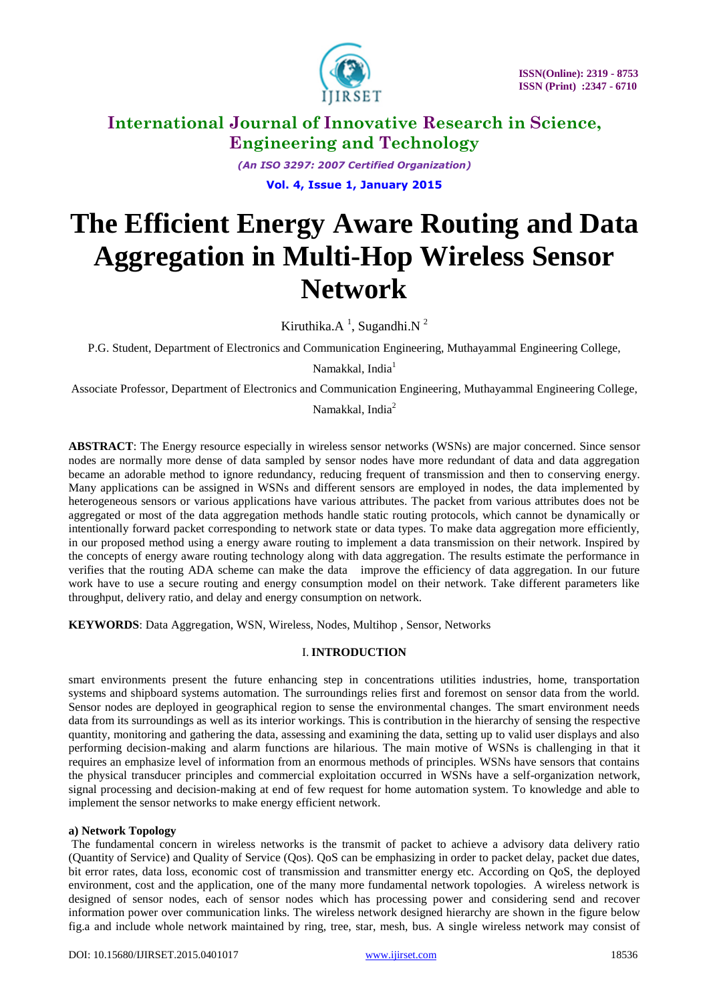

*(An ISO 3297: 2007 Certified Organization)* **Vol. 4, Issue 1, January 2015**

# **The Efficient Energy Aware Routing and Data Aggregation in Multi-Hop Wireless Sensor Network**

Kiruthika. $A<sup>1</sup>$ , Sugandhi. $N<sup>2</sup>$ 

P.G. Student, Department of Electronics and Communication Engineering, Muthayammal Engineering College,

Namakkal, India<sup>1</sup>

Associate Professor, Department of Electronics and Communication Engineering, Muthayammal Engineering College,

Namakkal, India<sup>2</sup>

**ABSTRACT**: The Energy resource especially in wireless sensor networks (WSNs) are major concerned. Since sensor nodes are normally more dense of data sampled by sensor nodes have more redundant of data and data aggregation became an adorable method to ignore redundancy, reducing frequent of transmission and then to conserving energy. Many applications can be assigned in WSNs and different sensors are employed in nodes, the data implemented by heterogeneous sensors or various applications have various attributes. The packet from various attributes does not be aggregated or most of the data aggregation methods handle static routing protocols, which cannot be dynamically or intentionally forward packet corresponding to network state or data types. To make data aggregation more efficiently, in our proposed method using a energy aware routing to implement a data transmission on their network. Inspired by the concepts of energy aware routing technology along with data aggregation. The results estimate the performance in verifies that the routing ADA scheme can make the data improve the efficiency of data aggregation. In our future work have to use a secure routing and energy consumption model on their network. Take different parameters like throughput, delivery ratio, and delay and energy consumption on network.

**KEYWORDS**: Data Aggregation, WSN, Wireless, Nodes, Multihop , Sensor, Networks

# I. **INTRODUCTION**

smart environments present the future enhancing step in concentrations utilities industries, home, transportation systems and shipboard systems automation. The surroundings relies first and foremost on sensor data from the world. Sensor nodes are deployed in geographical region to sense the environmental changes. The smart environment needs data from its surroundings as well as its interior workings. This is contribution in the hierarchy of sensing the respective quantity, monitoring and gathering the data, assessing and examining the data, setting up to valid user displays and also performing decision-making and alarm functions are hilarious. The main motive of WSNs is challenging in that it requires an emphasize level of information from an enormous methods of principles. WSNs have sensors that contains the physical transducer principles and commercial exploitation occurred in WSNs have a self-organization network, signal processing and decision-making at end of few request for home automation system. To knowledge and able to implement the sensor networks to make energy efficient network.

# **a) Network Topology**

The fundamental concern in wireless networks is the transmit of packet to achieve a advisory data delivery ratio (Quantity of Service) and Quality of Service (Qos). QoS can be emphasizing in order to packet delay, packet due dates, bit error rates, data loss, economic cost of transmission and transmitter energy etc. According on QoS, the deployed environment, cost and the application, one of the many more fundamental network topologies. A wireless network is designed of sensor nodes, each of sensor nodes which has processing power and considering send and recover information power over communication links. The wireless network designed hierarchy are shown in the figure below fig.a and include whole network maintained by ring, tree, star, mesh, bus. A single wireless network may consist of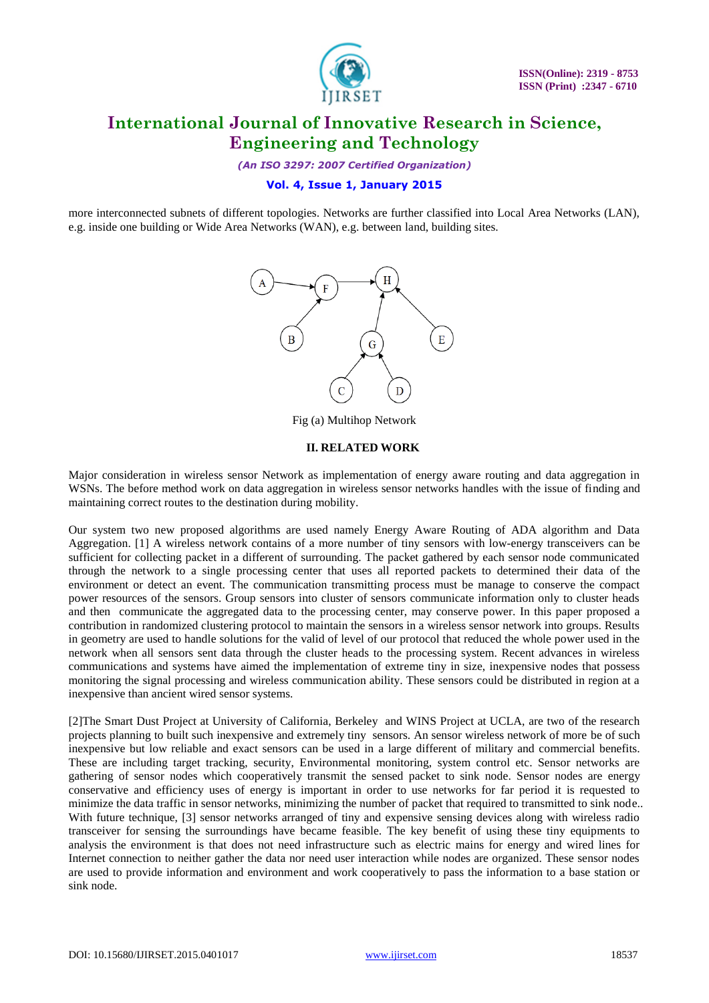

*(An ISO 3297: 2007 Certified Organization)*

# **Vol. 4, Issue 1, January 2015**

more interconnected subnets of different topologies. Networks are further classified into Local Area Networks (LAN), e.g. inside one building or Wide Area Networks (WAN), e.g. between land, building sites.



Fig (a) Multihop Network

### **II. RELATED WORK**

Major consideration in wireless sensor Network as implementation of energy aware routing and data aggregation in WSNs. The before method work on data aggregation in wireless sensor networks handles with the issue of finding and maintaining correct routes to the destination during mobility.

Our system two new proposed algorithms are used namely Energy Aware Routing of ADA algorithm and Data Aggregation. [1] A wireless network contains of a more number of tiny sensors with low-energy transceivers can be sufficient for collecting packet in a different of surrounding. The packet gathered by each sensor node communicated through the network to a single processing center that uses all reported packets to determined their data of the environment or detect an event. The communication transmitting process must be manage to conserve the compact power resources of the sensors. Group sensors into cluster of sensors communicate information only to cluster heads and then communicate the aggregated data to the processing center, may conserve power. In this paper proposed a contribution in randomized clustering protocol to maintain the sensors in a wireless sensor network into groups. Results in geometry are used to handle solutions for the valid of level of our protocol that reduced the whole power used in the network when all sensors sent data through the cluster heads to the processing system. Recent advances in wireless communications and systems have aimed the implementation of extreme tiny in size, inexpensive nodes that possess monitoring the signal processing and wireless communication ability. These sensors could be distributed in region at a inexpensive than ancient wired sensor systems.

[2]The Smart Dust Project at University of California, Berkeley and WINS Project at UCLA, are two of the research projects planning to built such inexpensive and extremely tiny sensors. An sensor wireless network of more be of such inexpensive but low reliable and exact sensors can be used in a large different of military and commercial benefits. These are including target tracking, security, Environmental monitoring, system control etc. Sensor networks are gathering of sensor nodes which cooperatively transmit the sensed packet to sink node. Sensor nodes are energy conservative and efficiency uses of energy is important in order to use networks for far period it is requested to minimize the data traffic in sensor networks, minimizing the number of packet that required to transmitted to sink node.. With future technique, [3] sensor networks arranged of tiny and expensive sensing devices along with wireless radio transceiver for sensing the surroundings have became feasible. The key benefit of using these tiny equipments to analysis the environment is that does not need infrastructure such as electric mains for energy and wired lines for Internet connection to neither gather the data nor need user interaction while nodes are organized. These sensor nodes are used to provide information and environment and work cooperatively to pass the information to a base station or sink node.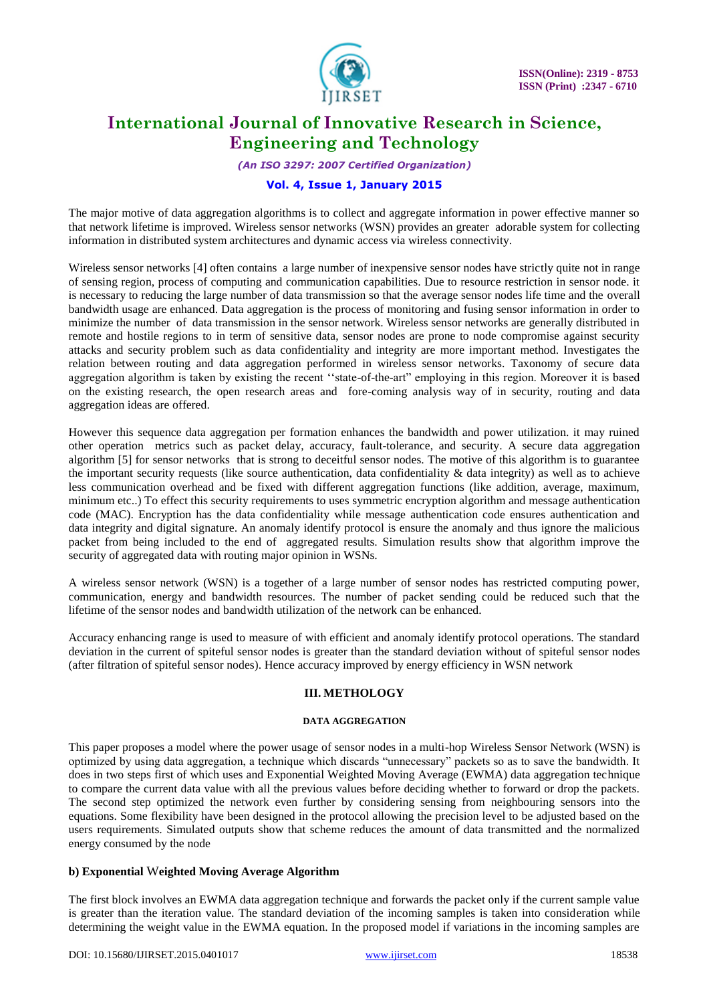

*(An ISO 3297: 2007 Certified Organization)*

# **Vol. 4, Issue 1, January 2015**

The major motive of data aggregation algorithms is to collect and aggregate information in power effective manner so that network lifetime is improved. Wireless sensor networks (WSN) provides an greater adorable system for collecting information in distributed system architectures and dynamic access via wireless connectivity.

Wireless sensor networks [4] often contains a large number of inexpensive sensor nodes have strictly quite not in range of sensing region, process of computing and communication capabilities. Due to resource restriction in sensor node. it is necessary to reducing the large number of data transmission so that the average sensor nodes life time and the overall bandwidth usage are enhanced. Data aggregation is the process of monitoring and fusing sensor information in order to minimize the number of data transmission in the sensor network. Wireless sensor networks are generally distributed in remote and hostile regions to in term of sensitive data, sensor nodes are prone to node compromise against security attacks and security problem such as data confidentiality and integrity are more important method. Investigates the relation between routing and data aggregation performed in wireless sensor networks. Taxonomy of secure data aggregation algorithm is taken by existing the recent ""state-of-the-art" employing in this region. Moreover it is based on the existing research, the open research areas and fore-coming analysis way of in security, routing and data aggregation ideas are offered.

However this sequence data aggregation per formation enhances the bandwidth and power utilization. it may ruined other operation metrics such as packet delay, accuracy, fault-tolerance, and security. A secure data aggregation algorithm [5] for sensor networks that is strong to deceitful sensor nodes. The motive of this algorithm is to guarantee the important security requests (like source authentication, data confidentiality  $\&$  data integrity) as well as to achieve less communication overhead and be fixed with different aggregation functions (like addition, average, maximum, minimum etc..) To effect this security requirements to uses symmetric encryption algorithm and message authentication code (MAC). Encryption has the data confidentiality while message authentication code ensures authentication and data integrity and digital signature. An anomaly identify protocol is ensure the anomaly and thus ignore the malicious packet from being included to the end of aggregated results. Simulation results show that algorithm improve the security of aggregated data with routing major opinion in WSNs.

A wireless sensor network (WSN) is a together of a large number of sensor nodes has restricted computing power, communication, energy and bandwidth resources. The number of packet sending could be reduced such that the lifetime of the sensor nodes and bandwidth utilization of the network can be enhanced.

Accuracy enhancing range is used to measure of with efficient and anomaly identify protocol operations. The standard deviation in the current of spiteful sensor nodes is greater than the standard deviation without of spiteful sensor nodes (after filtration of spiteful sensor nodes). Hence accuracy improved by energy efficiency in WSN network

# **III. METHOLOGY**

#### **DATA AGGREGATION**

This paper proposes a model where the power usage of sensor nodes in a multi-hop Wireless Sensor Network (WSN) is optimized by using data aggregation, a technique which discards "unnecessary" packets so as to save the bandwidth. It does in two steps first of which uses and Exponential Weighted Moving Average (EWMA) data aggregation technique to compare the current data value with all the previous values before deciding whether to forward or drop the packets. The second step optimized the network even further by considering sensing from neighbouring sensors into the equations. Some flexibility have been designed in the protocol allowing the precision level to be adjusted based on the users requirements. Simulated outputs show that scheme reduces the amount of data transmitted and the normalized energy consumed by the node

# **b) Exponential** W**eighted Moving Average Algorithm**

The first block involves an EWMA data aggregation technique and forwards the packet only if the current sample value is greater than the iteration value. The standard deviation of the incoming samples is taken into consideration while determining the weight value in the EWMA equation. In the proposed model if variations in the incoming samples are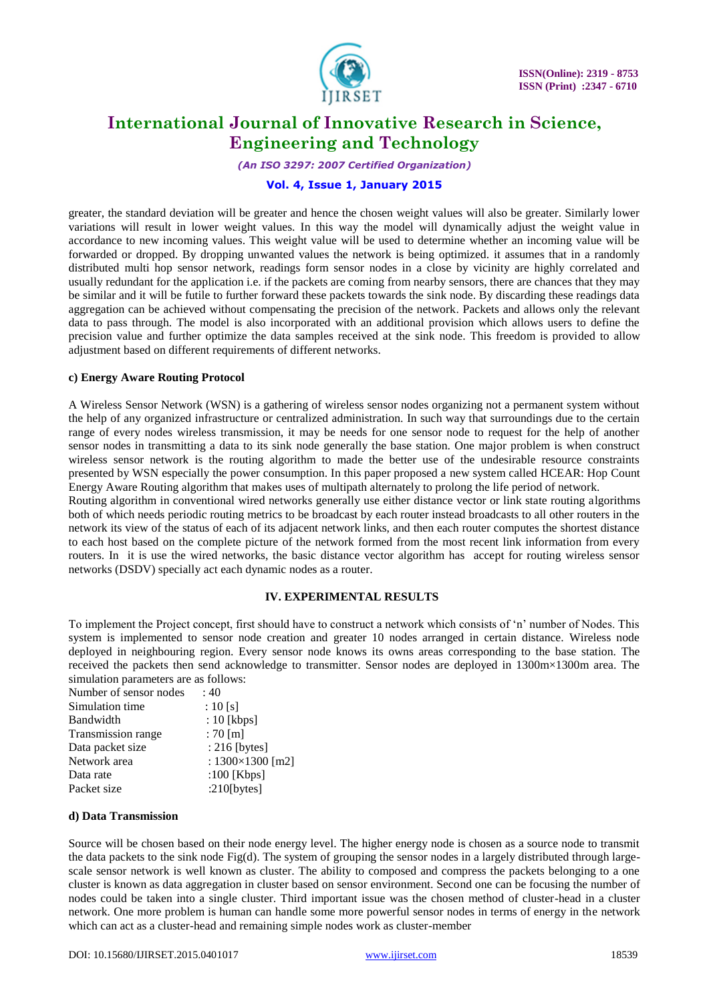

*(An ISO 3297: 2007 Certified Organization)*

# **Vol. 4, Issue 1, January 2015**

greater, the standard deviation will be greater and hence the chosen weight values will also be greater. Similarly lower variations will result in lower weight values. In this way the model will dynamically adjust the weight value in accordance to new incoming values. This weight value will be used to determine whether an incoming value will be forwarded or dropped. By dropping unwanted values the network is being optimized. it assumes that in a randomly distributed multi hop sensor network, readings form sensor nodes in a close by vicinity are highly correlated and usually redundant for the application i.e. if the packets are coming from nearby sensors, there are chances that they may be similar and it will be futile to further forward these packets towards the sink node. By discarding these readings data aggregation can be achieved without compensating the precision of the network. Packets and allows only the relevant data to pass through. The model is also incorporated with an additional provision which allows users to define the precision value and further optimize the data samples received at the sink node. This freedom is provided to allow adjustment based on different requirements of different networks.

#### **c) Energy Aware Routing Protocol**

A Wireless Sensor Network (WSN) is a gathering of wireless sensor nodes organizing not a permanent system without the help of any organized infrastructure or centralized administration. In such way that surroundings due to the certain range of every nodes wireless transmission, it may be needs for one sensor node to request for the help of another sensor nodes in transmitting a data to its sink node generally the base station. One major problem is when construct wireless sensor network is the routing algorithm to made the better use of the undesirable resource constraints presented by WSN especially the power consumption. In this paper proposed a new system called HCEAR: Hop Count Energy Aware Routing algorithm that makes uses of multipath alternately to prolong the life period of network.

Routing algorithm in conventional wired networks generally use either distance vector or link state routing algorithms both of which needs periodic routing metrics to be broadcast by each router instead broadcasts to all other routers in the network its view of the status of each of its adjacent network links, and then each router computes the shortest distance to each host based on the complete picture of the network formed from the most recent link information from every routers. In it is use the wired networks, the basic distance vector algorithm has accept for routing wireless sensor networks (DSDV) specially act each dynamic nodes as a router.

#### **IV. EXPERIMENTAL RESULTS**

To implement the Project concept, first should have to construct a network which consists of "n" number of Nodes. This system is implemented to sensor node creation and greater 10 nodes arranged in certain distance. Wireless node deployed in neighbouring region. Every sensor node knows its owns areas corresponding to the base station. The received the packets then send acknowledge to transmitter. Sensor nodes are deployed in 1300m×1300m area. The simulation parameters are as follows:

| :40                       |
|---------------------------|
| : 10 [s]                  |
| $: 10$ [kbps]             |
| $:70$ [m]                 |
| $: 216$ [bytes]           |
| : $1300 \times 1300$ [m2] |
| :100 $[Kbps]$             |
| $:210$ [bytes]            |
|                           |

#### **d) Data Transmission**

Source will be chosen based on their node energy level. The higher energy node is chosen as a source node to transmit the data packets to the sink node Fig(d). The system of grouping the sensor nodes in a largely distributed through largescale sensor network is well known as cluster. The ability to composed and compress the packets belonging to a one cluster is known as data aggregation in cluster based on sensor environment. Second one can be focusing the number of nodes could be taken into a single cluster. Third important issue was the chosen method of cluster-head in a cluster network. One more problem is human can handle some more powerful sensor nodes in terms of energy in the network which can act as a cluster-head and remaining simple nodes work as cluster-member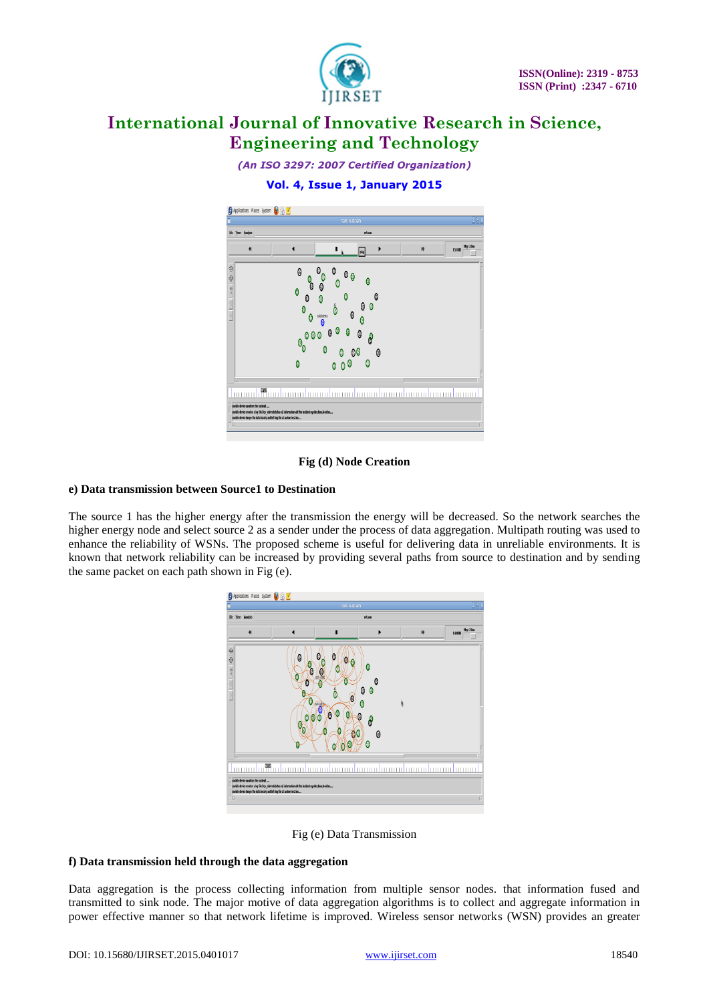

*(An ISO 3297: 2007 Certified Organization)*

# **Vol. 4, Issue 1, January 2015**



# **Fig (d) Node Creation**

# **e) Data transmission between Source1 to Destination**

The source 1 has the higher energy after the transmission the energy will be decreased. So the network searches the higher energy node and select source 2 as a sender under the process of data aggregation. Multipath routing was used to enhance the reliability of WSNs. The proposed scheme is useful for delivering data in unreliable environments. It is known that network reliability can be increased by providing several paths from source to destination and by sending the same packet on each path shown in Fig (e).



Fig (e) Data Transmission

#### **f) Data transmission held through the data aggregation**

Data aggregation is the process collecting information from multiple sensor nodes. that information fused and transmitted to sink node. The major motive of data aggregation algorithms is to collect and aggregate information in power effective manner so that network lifetime is improved. Wireless sensor networks (WSN) provides an greater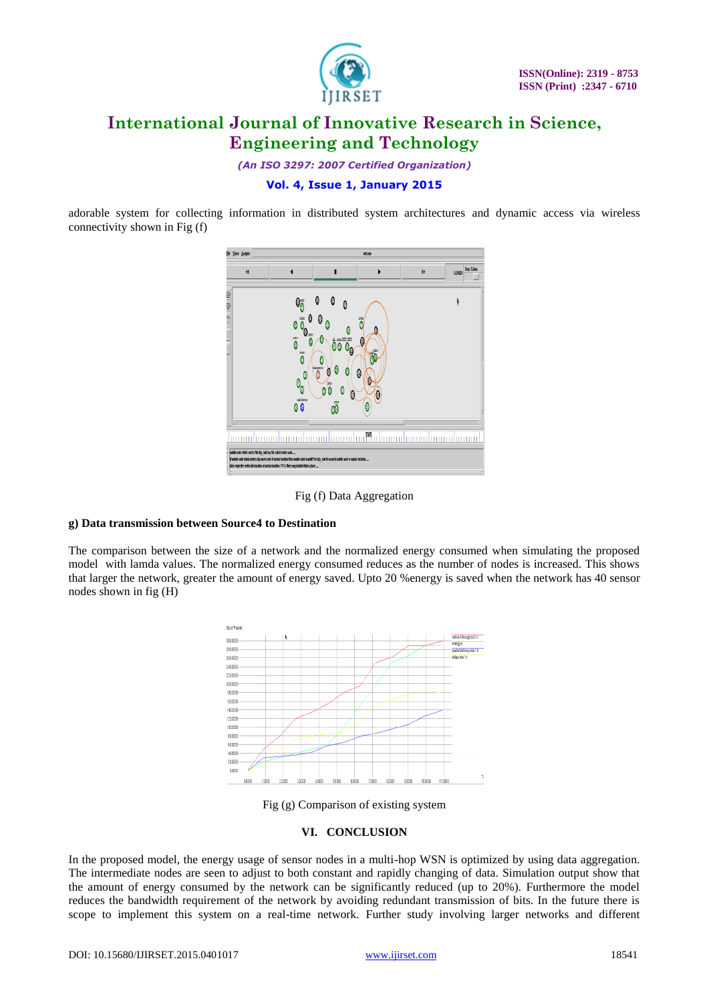

*(An ISO 3297: 2007 Certified Organization)*

# **Vol. 4, Issue 1, January 2015**

adorable system for collecting information in distributed system architectures and dynamic access via wireless connectivity shown in Fig (f)



Fig (f) Data Aggregation

#### **g) Data transmission between Source4 to Destination**

The comparison between the size of a network and the normalized energy consumed when simulating the proposed model with lamda values. The normalized energy consumed reduces as the number of nodes is increased. This shows that larger the network, greater the amount of energy saved. Upto 20 %energy is saved when the network has 40 sensor nodes shown in fig (H)



Fig (g) Comparison of existing system

# **VI. CONCLUSION**

In the proposed model, the energy usage of sensor nodes in a multi-hop WSN is optimized by using data aggregation. The intermediate nodes are seen to adjust to both constant and rapidly changing of data. Simulation output show that the amount of energy consumed by the network can be significantly reduced (up to 20%). Furthermore the model reduces the bandwidth requirement of the network by avoiding redundant transmission of bits. In the future there is scope to implement this system on a real-time network. Further study involving larger networks and different